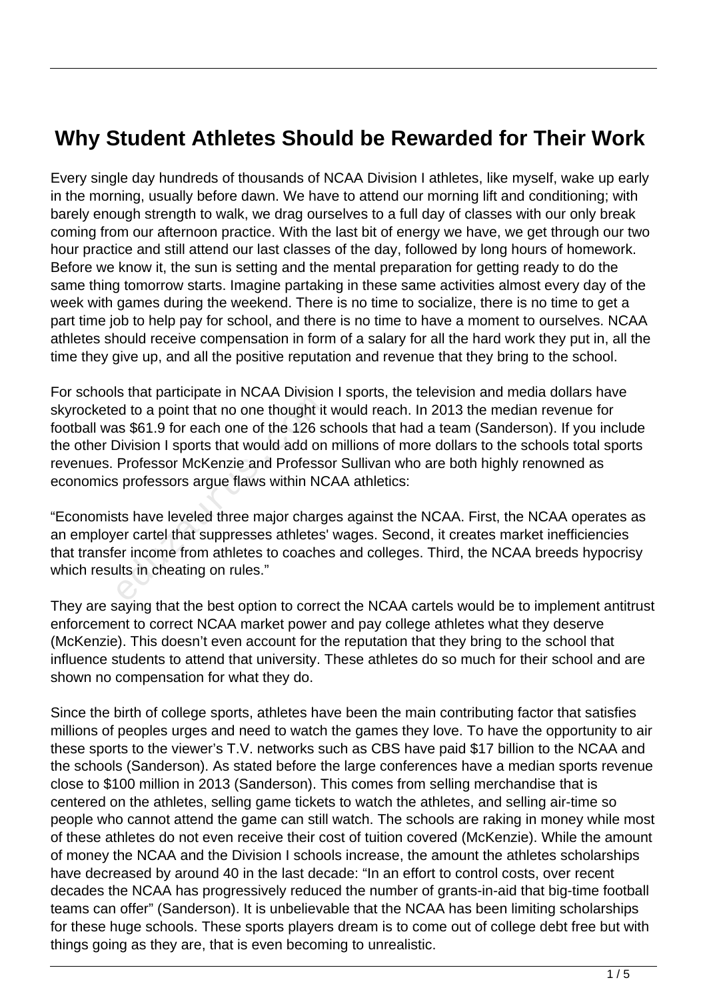## **Why Student Athletes Should be Rewarded for Their Work**

Every single day hundreds of thousands of NCAA Division I athletes, like myself, wake up early in the morning, usually before dawn. We have to attend our morning lift and conditioning; with barely enough strength to walk, we drag ourselves to a full day of classes with our only break coming from our afternoon practice. With the last bit of energy we have, we get through our two hour practice and still attend our last classes of the day, followed by long hours of homework. Before we know it, the sun is setting and the mental preparation for getting ready to do the same thing tomorrow starts. Imagine partaking in these same activities almost every day of the week with games during the weekend. There is no time to socialize, there is no time to get a part time job to help pay for school, and there is no time to have a moment to ourselves. NCAA athletes should receive compensation in form of a salary for all the hard work they put in, all the time they give up, and all the positive reputation and revenue that they bring to the school.

For schools that participate in NCAA Division I sports, the television and media dollars have skyrocketed to a point that no one thought it would reach. In 2013 the median revenue for football was \$61.9 for each one of the 126 schools that had a team (Sanderson). If you include the other Division I sports that would add on millions of more dollars to the schools total sports revenues. Professor McKenzie and Professor Sullivan who are both highly renowned as economics professors argue flaws within NCAA athletics: ed to a point that no one thought it<br>is \$61.9 for each one of the 126 s<br>Division I sports that would add on<br>Professor McKenzie and Professo<br>is professors argue flaws within NC<br>is have leveled three major charger cartel tha

"Economists have leveled three major charges against the NCAA. First, the NCAA operates as an employer cartel that suppresses athletes' wages. Second, it creates market inefficiencies that transfer income from athletes to coaches and colleges. Third, the NCAA breeds hypocrisy which results in cheating on rules."

They are saying that the best option to correct the NCAA cartels would be to implement antitrust enforcement to correct NCAA market power and pay college athletes what they deserve (McKenzie). This doesn't even account for the reputation that they bring to the school that influence students to attend that university. These athletes do so much for their school and are shown no compensation for what they do.

Since the birth of college sports, athletes have been the main contributing factor that satisfies millions of peoples urges and need to watch the games they love. To have the opportunity to air these sports to the viewer's T.V. networks such as CBS have paid \$17 billion to the NCAA and the schools (Sanderson). As stated before the large conferences have a median sports revenue close to \$100 million in 2013 (Sanderson). This comes from selling merchandise that is centered on the athletes, selling game tickets to watch the athletes, and selling air-time so people who cannot attend the game can still watch. The schools are raking in money while most of these athletes do not even receive their cost of tuition covered (McKenzie). While the amount of money the NCAA and the Division I schools increase, the amount the athletes scholarships have decreased by around 40 in the last decade: "In an effort to control costs, over recent decades the NCAA has progressively reduced the number of grants-in-aid that big-time football teams can offer" (Sanderson). It is unbelievable that the NCAA has been limiting scholarships for these huge schools. These sports players dream is to come out of college debt free but with things going as they are, that is even becoming to unrealistic.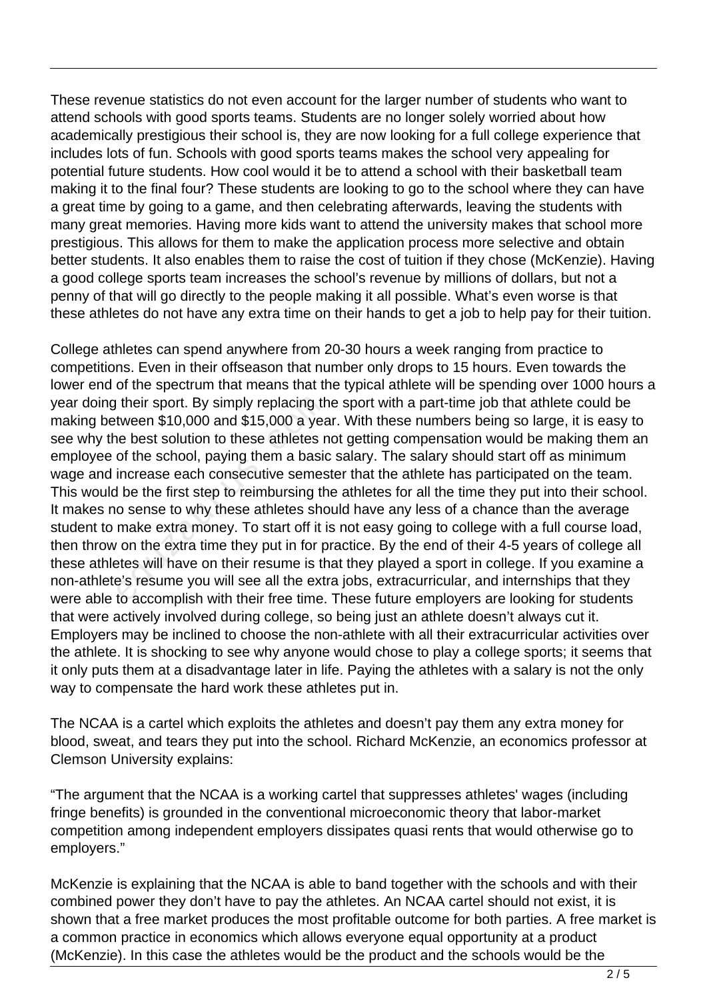These revenue statistics do not even account for the larger number of students who want to attend schools with good sports teams. Students are no longer solely worried about how academically prestigious their school is, they are now looking for a full college experience that includes lots of fun. Schools with good sports teams makes the school very appealing for potential future students. How cool would it be to attend a school with their basketball team making it to the final four? These students are looking to go to the school where they can have a great time by going to a game, and then celebrating afterwards, leaving the students with many great memories. Having more kids want to attend the university makes that school more prestigious. This allows for them to make the application process more selective and obtain better students. It also enables them to raise the cost of tuition if they chose (McKenzie). Having a good college sports team increases the school's revenue by millions of dollars, but not a penny of that will go directly to the people making it all possible. What's even worse is that these athletes do not have any extra time on their hands to get a job to help pay for their tuition.

College athletes can spend anywhere from 20-30 hours a week ranging from practice to competitions. Even in their offseason that number only drops to 15 hours. Even towards the lower end of the spectrum that means that the typical athlete will be spending over 1000 hours a year doing their sport. By simply replacing the sport with a part-time job that athlete could be making between \$10,000 and \$15,000 a year. With these numbers being so large, it is easy to see why the best solution to these athletes not getting compensation would be making them an employee of the school, paying them a basic salary. The salary should start off as minimum wage and increase each consecutive semester that the athlete has participated on the team. This would be the first step to reimbursing the athletes for all the time they put into their school. It makes no sense to why these athletes should have any less of a chance than the average student to make extra money. To start off it is not easy going to college with a full course load, then throw on the extra time they put in for practice. By the end of their 4-5 years of college all these athletes will have on their resume is that they played a sport in college. If you examine a non-athlete's resume you will see all the extra jobs, extracurricular, and internships that they were able to accomplish with their free time. These future employers are looking for students that were actively involved during college, so being just an athlete doesn't always cut it. Employers may be inclined to choose the non-athlete with all their extracurricular activities over the athlete. It is shocking to see why anyone would chose to play a college sports; it seems that it only puts them at a disadvantage later in life. Paying the athletes with a salary is not the only way to compensate the hard work these athletes put in. their sport. By simply replacing th<br>tween \$10,000 and \$15,000 a yea<br>ne best solution to these athletes r<br>of the school, paying them a basic<br>increase each consecutive semes<br>I be the first step to reimbursing th<br>o sense to w

The NCAA is a cartel which exploits the athletes and doesn't pay them any extra money for blood, sweat, and tears they put into the school. Richard McKenzie, an economics professor at Clemson University explains:

"The argument that the NCAA is a working cartel that suppresses athletes' wages (including fringe benefits) is grounded in the conventional microeconomic theory that labor-market competition among independent employers dissipates quasi rents that would otherwise go to employers."

McKenzie is explaining that the NCAA is able to band together with the schools and with their combined power they don't have to pay the athletes. An NCAA cartel should not exist, it is shown that a free market produces the most profitable outcome for both parties. A free market is a common practice in economics which allows everyone equal opportunity at a product (McKenzie). In this case the athletes would be the product and the schools would be the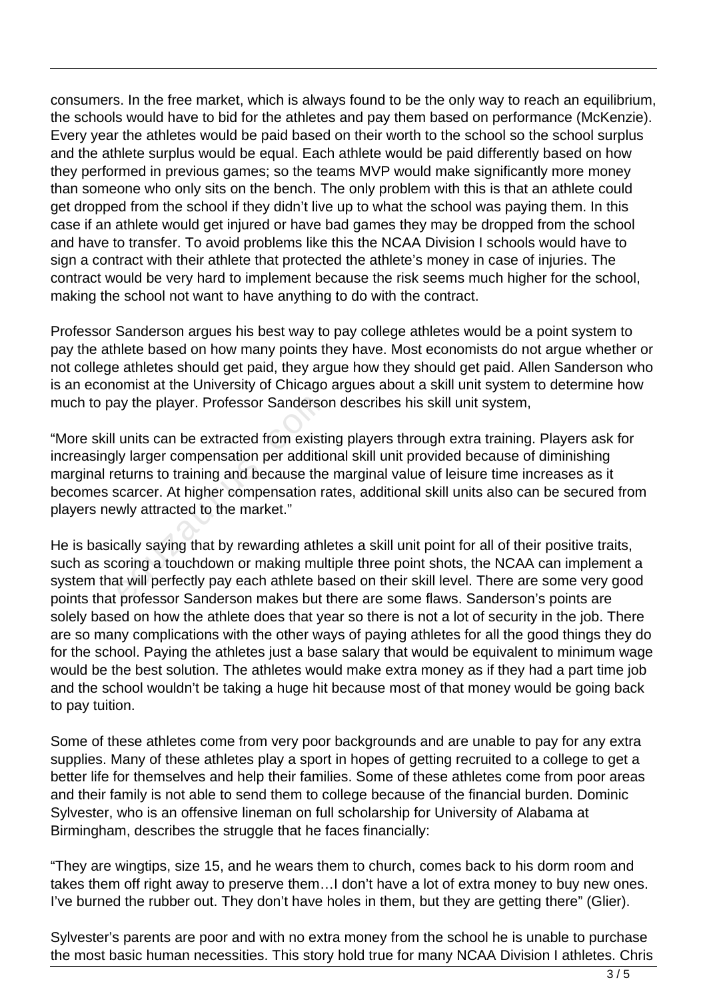consumers. In the free market, which is always found to be the only way to reach an equilibrium, the schools would have to bid for the athletes and pay them based on performance (McKenzie). Every year the athletes would be paid based on their worth to the school so the school surplus and the athlete surplus would be equal. Each athlete would be paid differently based on how they performed in previous games; so the teams MVP would make significantly more money than someone who only sits on the bench. The only problem with this is that an athlete could get dropped from the school if they didn't live up to what the school was paying them. In this case if an athlete would get injured or have bad games they may be dropped from the school and have to transfer. To avoid problems like this the NCAA Division I schools would have to sign a contract with their athlete that protected the athlete's money in case of injuries. The contract would be very hard to implement because the risk seems much higher for the school, making the school not want to have anything to do with the contract.

Professor Sanderson argues his best way to pay college athletes would be a point system to pay the athlete based on how many points they have. Most economists do not argue whether or not college athletes should get paid, they argue how they should get paid. Allen Sanderson who is an economist at the University of Chicago argues about a skill unit system to determine how much to pay the player. Professor Sanderson describes his skill unit system,

"More skill units can be extracted from existing players through extra training. Players ask for increasingly larger compensation per additional skill unit provided because of diminishing marginal returns to training and because the marginal value of leisure time increases as it becomes scarcer. At higher compensation rates, additional skill units also can be secured from players newly attracted to the market." ay the player. Professor Sanderso<br>units can be extracted from existi<br>ly larger compensation per additio<br>eturns to training and because the<br>scarcer. At higher compensation ra<br>wly attracted to the market."<br>cally saying that

He is basically saying that by rewarding athletes a skill unit point for all of their positive traits, such as scoring a touchdown or making multiple three point shots, the NCAA can implement a system that will perfectly pay each athlete based on their skill level. There are some very good points that professor Sanderson makes but there are some flaws. Sanderson's points are solely based on how the athlete does that year so there is not a lot of security in the job. There are so many complications with the other ways of paying athletes for all the good things they do for the school. Paying the athletes just a base salary that would be equivalent to minimum wage would be the best solution. The athletes would make extra money as if they had a part time job and the school wouldn't be taking a huge hit because most of that money would be going back to pay tuition.

Some of these athletes come from very poor backgrounds and are unable to pay for any extra supplies. Many of these athletes play a sport in hopes of getting recruited to a college to get a better life for themselves and help their families. Some of these athletes come from poor areas and their family is not able to send them to college because of the financial burden. Dominic Sylvester, who is an offensive lineman on full scholarship for University of Alabama at Birmingham, describes the struggle that he faces financially:

"They are wingtips, size 15, and he wears them to church, comes back to his dorm room and takes them off right away to preserve them…I don't have a lot of extra money to buy new ones. I've burned the rubber out. They don't have holes in them, but they are getting there" (Glier).

Sylvester's parents are poor and with no extra money from the school he is unable to purchase the most basic human necessities. This story hold true for many NCAA Division I athletes. Chris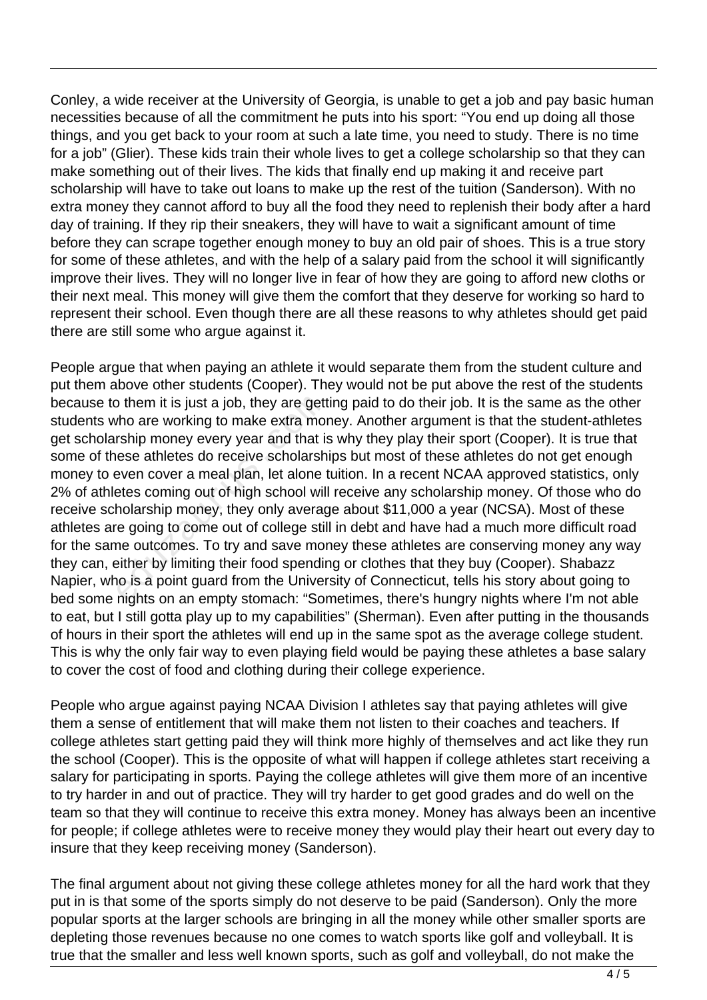Conley, a wide receiver at the University of Georgia, is unable to get a job and pay basic human necessities because of all the commitment he puts into his sport: "You end up doing all those things, and you get back to your room at such a late time, you need to study. There is no time for a job" (Glier). These kids train their whole lives to get a college scholarship so that they can make something out of their lives. The kids that finally end up making it and receive part scholarship will have to take out loans to make up the rest of the tuition (Sanderson). With no extra money they cannot afford to buy all the food they need to replenish their body after a hard day of training. If they rip their sneakers, they will have to wait a significant amount of time before they can scrape together enough money to buy an old pair of shoes. This is a true story for some of these athletes, and with the help of a salary paid from the school it will significantly improve their lives. They will no longer live in fear of how they are going to afford new cloths or their next meal. This money will give them the comfort that they deserve for working so hard to represent their school. Even though there are all these reasons to why athletes should get paid there are still some who argue against it.

People argue that when paying an athlete it would separate them from the student culture and put them above other students (Cooper). They would not be put above the rest of the students because to them it is just a job, they are getting paid to do their job. It is the same as the other students who are working to make extra money. Another argument is that the student-athletes get scholarship money every year and that is why they play their sport (Cooper). It is true that some of these athletes do receive scholarships but most of these athletes do not get enough money to even cover a meal plan, let alone tuition. In a recent NCAA approved statistics, only 2% of athletes coming out of high school will receive any scholarship money. Of those who do receive scholarship money, they only average about \$11,000 a year (NCSA). Most of these athletes are going to come out of college still in debt and have had a much more difficult road for the same outcomes. To try and save money these athletes are conserving money any way they can, either by limiting their food spending or clothes that they buy (Cooper). Shabazz Napier, who is a point guard from the University of Connecticut, tells his story about going to bed some nights on an empty stomach: "Sometimes, there's hungry nights where I'm not able to eat, but I still gotta play up to my capabilities" (Sherman). Even after putting in the thousands of hours in their sport the athletes will end up in the same spot as the average college student. This is why the only fair way to even playing field would be paying these athletes a base salary to cover the cost of food and clothing during their college experience. b them it is just a job, they are gett<br>who are working to make extra morship money every year and that is<br>ese athletes do receive scholarsh<br>even cover a meal plan, let alone t<br>etes coming out of high school will<br>holarship

People who argue against paying NCAA Division I athletes say that paying athletes will give them a sense of entitlement that will make them not listen to their coaches and teachers. If college athletes start getting paid they will think more highly of themselves and act like they run the school (Cooper). This is the opposite of what will happen if college athletes start receiving a salary for participating in sports. Paying the college athletes will give them more of an incentive to try harder in and out of practice. They will try harder to get good grades and do well on the team so that they will continue to receive this extra money. Money has always been an incentive for people; if college athletes were to receive money they would play their heart out every day to insure that they keep receiving money (Sanderson).

The final argument about not giving these college athletes money for all the hard work that they put in is that some of the sports simply do not deserve to be paid (Sanderson). Only the more popular sports at the larger schools are bringing in all the money while other smaller sports are depleting those revenues because no one comes to watch sports like golf and volleyball. It is true that the smaller and less well known sports, such as golf and volleyball, do not make the